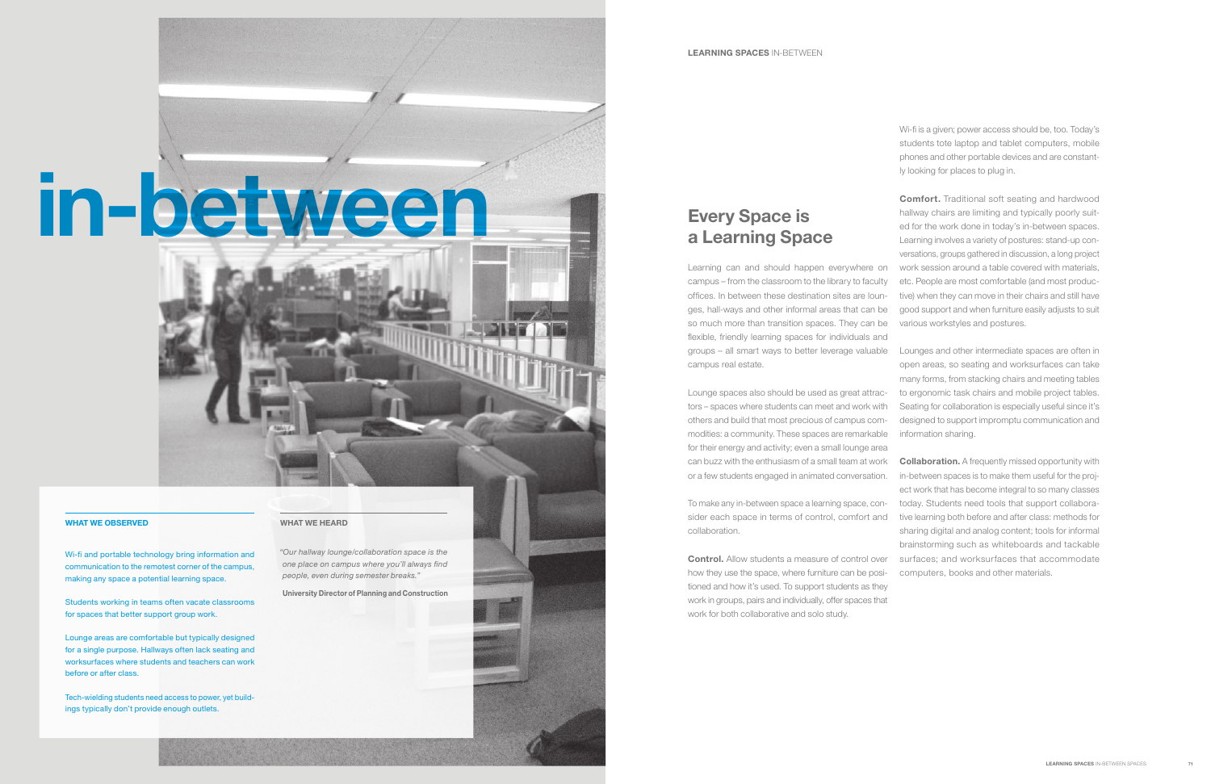# Every Space is a Learning Space

campus – from the classroom to the library to faculty offices. In between these destination sites are lounges, hall-ways and other informal areas that can be so much more than transition spaces. They can be flexible, friendly learning spaces for individuals and campus real estate.

**Control.** Allow students a measure of control over how they use the space, where furniture can be positioned and how it's used. To support students as they work in groups, pairs and individually, offer spaces that work for both collaborative and solo study.

Lounge spaces also should be used as great attractors – spaces where students can meet and work with others and build that most precious of campus commodities: a community. These spaces are remarkable for their energy and activity; even a small lounge area can buzz with the enthusiasm of a small team at work or a few students engaged in animated conversation.

To make any in-between space a learning space, consider each space in terms of control, comfort and collaboration.

Learning can and should happen everywhere on work session around a table covered with materials, Comfort. Traditional soft seating and hardwood hallway chairs are limiting and typically poorly suited for the work done in today's in-between spaces. Learning involves a variety of postures: stand-up conversations, groups gathered in discussion, a long project etc. People are most comfortable (and most productive) when they can move in their chairs and still have good support and when furniture easily adjusts to suit various workstyles and postures.

Wi-fi is a given; power access should be, too. Today's students tote laptop and tablet computers, mobile phones and other portable devices and are constantly looking for places to plug in.

groups – all smart ways to better leverage valuable Lounges and other intermediate spaces are often in open areas, so seating and worksurfaces can take many forms, from stacking chairs and meeting tables to ergonomic task chairs and mobile project tables. Seating for collaboration is especially useful since it's designed to support impromptu communication and information sharing.

> **Collaboration.** A frequently missed opportunity with in-between spaces is to make them useful for the project work that has become integral to so many classes today. Students need tools that support collaborative learning both before and after class: methods for sharing digital and analog content; tools for informal brainstorming such as whiteboards and tackable surfaces; and worksurfaces that accommodate computers, books and other materials.

# in-between

Wi-fi and portable technology bring information and communication to the remotest corner of the campus, making any space a potential learning space.

Students working in teams often vacate classrooms for spaces that better support group work.

Lounge areas are comfortable but typically designed for a single purpose. Hallways often lack seating and worksurfaces where students and teachers can work before or after class.

Tech-wielding students need access to power, yet buildings typically don't provide enough outlets.

# WHAT WE OBSERVED WHAT WE HEARD

"Our hallway lounge/collaboration space is the one place on campus where you'll always find people, even during semester breaks."

University Director of Planning and Construction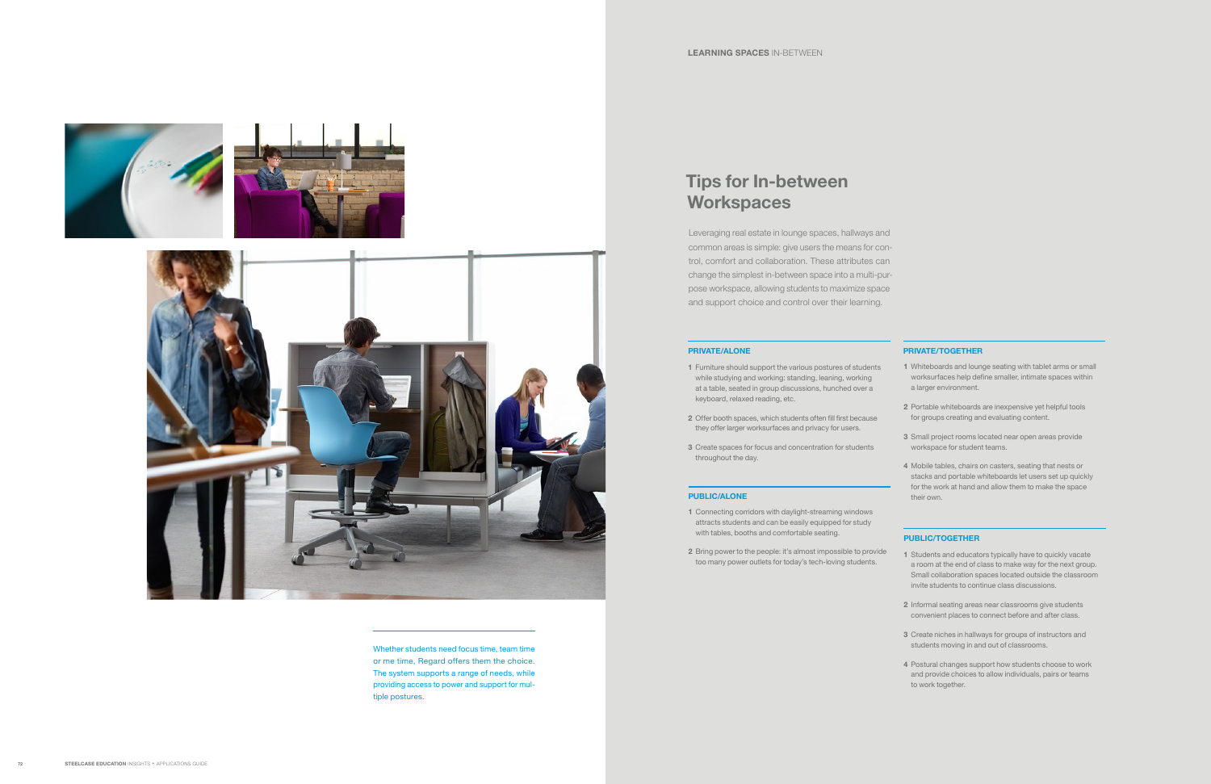- 1 Furniture should support the various postures of students while studying and working: standing, leaning, working at a table, seated in group discussions, hunched over a keyboard, relaxed reading, etc.
- 2 Offer booth spaces, which students often fill first because they offer larger worksurfaces and privacy for users.
- 3 Create spaces for focus and concentration for students throughout the day.

- 1 Connecting corridors with daylight-streaming windows attracts students and can be easily equipped for study with tables, booths and comfortable seating.
- 2 Bring power to the people: it's almost impossible to provide too many power outlets for today's tech-loving students.

# PUBLIC/ALONE

# PRIVATE/ALONE

# Tips for In-between **Workspaces**

- 1 Students and educators typically have to quickly vacate a room at the end of class to make way for the next group. Small collaboration spaces located outside the classroom invite students to continue class discussions.
- 2 Informal seating areas near classrooms give students convenient places to connect before and after class.
- 3 Create niches in hallways for groups of instructors and students moving in and out of classrooms.
- 4 Postural changes support how students choose to work and provide choices to allow individuals, pairs or teams to work together.

# PUBLIC/TOGETHER

- 1 Whiteboards and lounge seating with tablet arms or small worksurfaces help define smaller, intimate spaces within a larger environment.
- 2 Portable whiteboards are inexpensive yet helpful tools for groups creating and evaluating content.
- 3 Small project rooms located near open areas provide workspace for student teams.
- 4 Mobile tables, chairs on casters, seating that nests or stacks and portable whiteboards let users set up quickly for the work at hand and allow them to make the space their own.

## PRIVATE/TOGETHER

Whether students need focus time, team time or me time, Regard offers them the choice. The system supports a range of needs, while providing access to power and support for multiple postures.

Leveraging real estate in lounge spaces, hallways and common areas is simple: give users the means for control, comfort and collaboration. These attributes can change the simplest in-between space into a multi-purpose workspace, allowing students to maximize space and support choice and control over their learning.

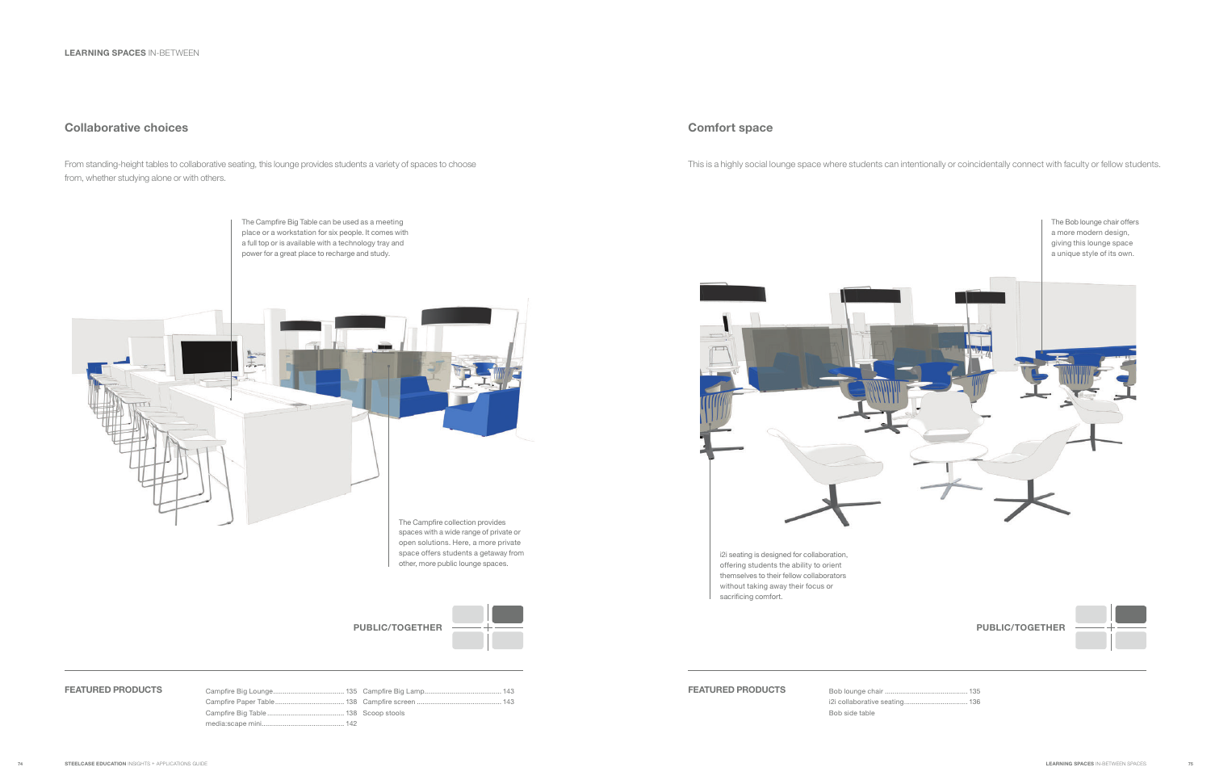From standing-height tables to collaborative seating, this lounge provides students a variety of spaces to choose from, whether studying alone or with others.

This is a highly social lounge space where students can intentionally or coincidentally connect with faculty or fellow students.

The Campfire Big Table can be used as a meeting place or a workstation for six people. It comes with a full top or is available with a technology tray and

# PUBLIC/TOGETHER  $+$   $+$   $-$  +  $+$   $+$   $+$   $+$   $+$   $+$   $+$   $+$   $+$   $+$   $+$   $+$   $+$   $+$   $-$

power for a great place to recharge and study. The Campfire collection provides spaces with a wide range of private or open solutions. Here, a more private space offers students a getaway from other, more public lounge spaces.



# Collaborative choices Comfort space Comfort space

| <b>FEATURED PRODUCTS</b> |  | <b>FEATURED PRODUCTS</b> |
|--------------------------|--|--------------------------|
|                          |  |                          |
|                          |  |                          |
|                          |  |                          |

Bob side table



i2i seating is designed for collaboration, offering students the ability to orient themselves to their fellow collaborators without taking away their focus or sacrificing comfort.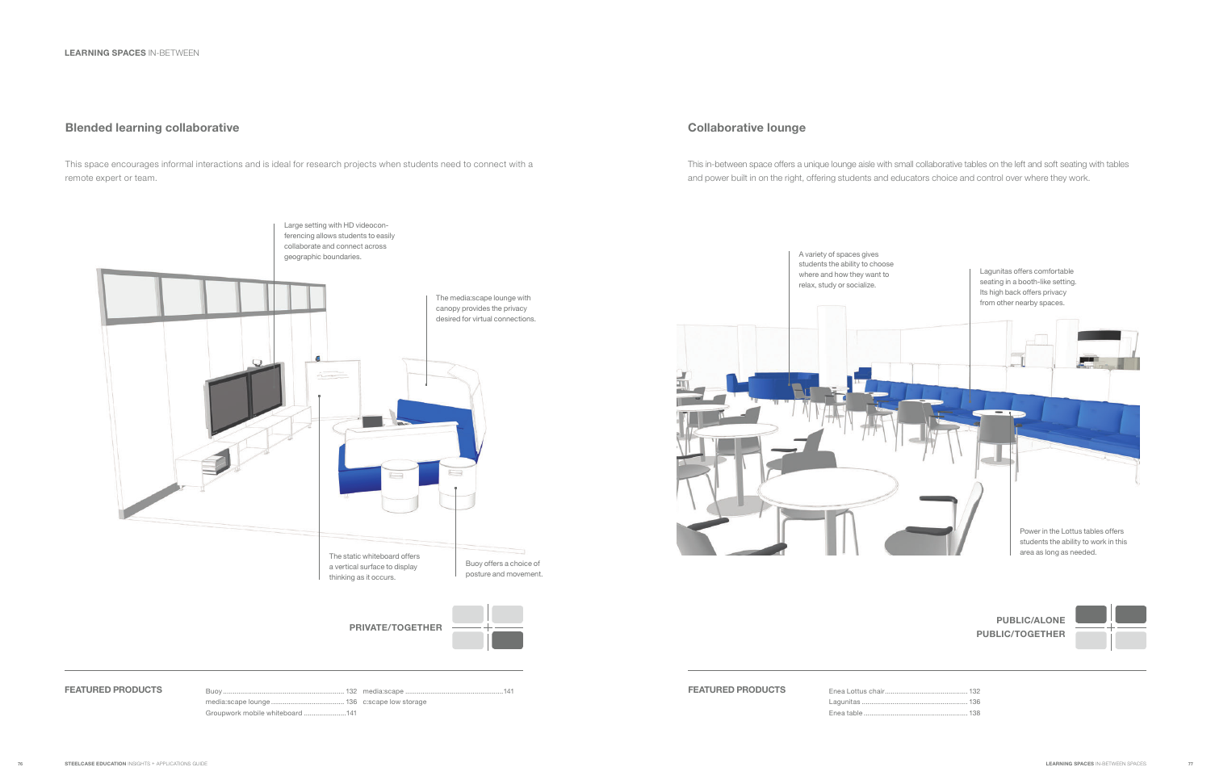# Blended learning collaborative

This space encourages informal interactions and is ideal for research projects when students need to connect with a remote expert or team.

# Collaborative lounge

This in-between space offers a unique lounge aisle with small collaborative tables on the left and soft seating with tables and power built in on the right, offering students and educators choice and control over where they work.

A variety of spaces gives



Enea Lottus chair..... Lagunitas ................ Enea table ................



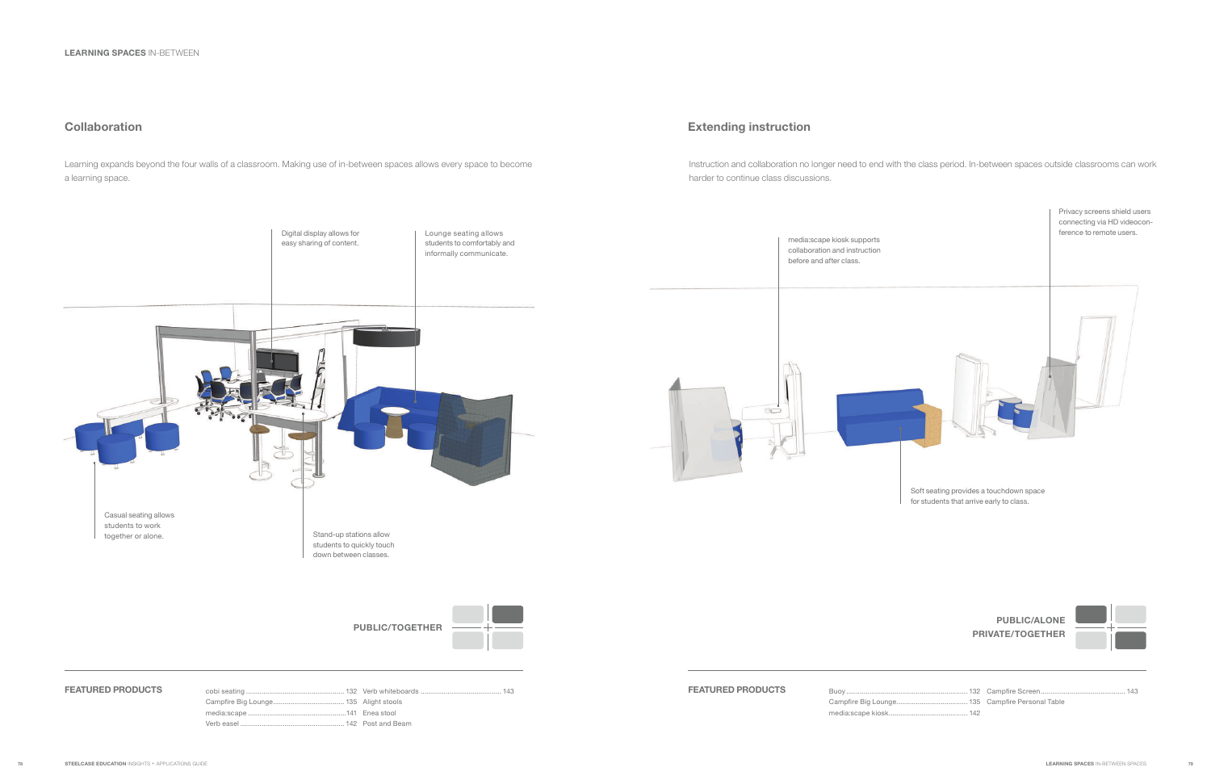Learning expands beyond the four walls of a classroom. Making use of in-between spaces allows every space to become a learning space.

# Extending instruction

Instruction and collaboration no longer need to end with the class period. In-between spaces outside classrooms can work harder to continue class discussions.

before and after class.

 $\sqrt{2}$ 



Soft seating provides a touchdown space for students that arrive early to class.



Buoy .... Campfire Big Loung media:scape kiosk.

Campfire Screen............................................ 143 Campfire Personal Table

# PUBLIC/ALONE PRIVATE/TOGETHER



# **Collaboration**